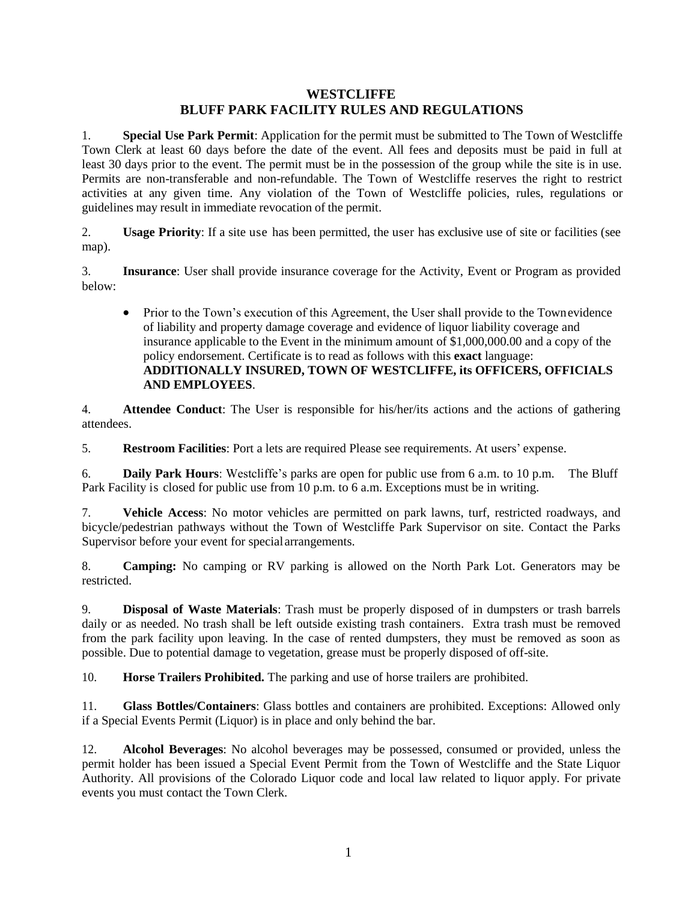## **WESTCLIFFE BLUFF PARK FACILITY RULES AND REGULATIONS**

1. **Special Use Park Permit**: Application for the permit must be submitted to The Town of Westcliffe Town Clerk at least 60 days before the date of the event. All fees and deposits must be paid in full at least 30 days prior to the event. The permit must be in the possession of the group while the site is in use. Permits are non-transferable and non-refundable. The Town of Westcliffe reserves the right to restrict activities at any given time. Any violation of the Town of Westcliffe policies, rules, regulations or guidelines may result in immediate revocation of the permit.

2. **Usage Priority**: If a site use has been permitted, the user has exclusive use of site or facilities (see map).

3. **Insurance**: User shall provide insurance coverage for the Activity, Event or Program as provided below:

• Prior to the Town's execution of this Agreement, the User shall provide to the Townevidence of liability and property damage coverage and evidence of liquor liability coverage and insurance applicable to the Event in the minimum amount of \$1,000,000.00 and a copy of the policy endorsement. Certificate is to read as follows with this **exact** language: **ADDITIONALLY INSURED, TOWN OF WESTCLIFFE, its OFFICERS, OFFICIALS AND EMPLOYEES**.

4. **Attendee Conduct**: The User is responsible for his/her/its actions and the actions of gathering attendees.

5. **Restroom Facilities**: Port a lets are required Please see requirements. At users' expense.

6. **Daily Park Hours**: Westcliffe's parks are open for public use from 6 a.m. to 10 p.m. The Bluff Park Facility is closed for public use from 10 p.m. to 6 a.m. Exceptions must be in writing.

7. **Vehicle Access**: No motor vehicles are permitted on park lawns, turf, restricted roadways, and bicycle/pedestrian pathways without the Town of Westcliffe Park Supervisor on site. Contact the Parks Supervisor before your event for specialarrangements.

8. **Camping:** No camping or RV parking is allowed on the North Park Lot. Generators may be restricted.

9. **Disposal of Waste Materials**: Trash must be properly disposed of in dumpsters or trash barrels daily or as needed. No trash shall be left outside existing trash containers. Extra trash must be removed from the park facility upon leaving. In the case of rented dumpsters, they must be removed as soon as possible. Due to potential damage to vegetation, grease must be properly disposed of off-site.

10. **Horse Trailers Prohibited.** The parking and use of horse trailers are prohibited.

11. **Glass Bottles/Containers**: Glass bottles and containers are prohibited. Exceptions: Allowed only if a Special Events Permit (Liquor) is in place and only behind the bar.

12. **Alcohol Beverages**: No alcohol beverages may be possessed, consumed or provided, unless the permit holder has been issued a Special Event Permit from the Town of Westcliffe and the State Liquor Authority. All provisions of the Colorado Liquor code and local law related to liquor apply. For private events you must contact the Town Clerk.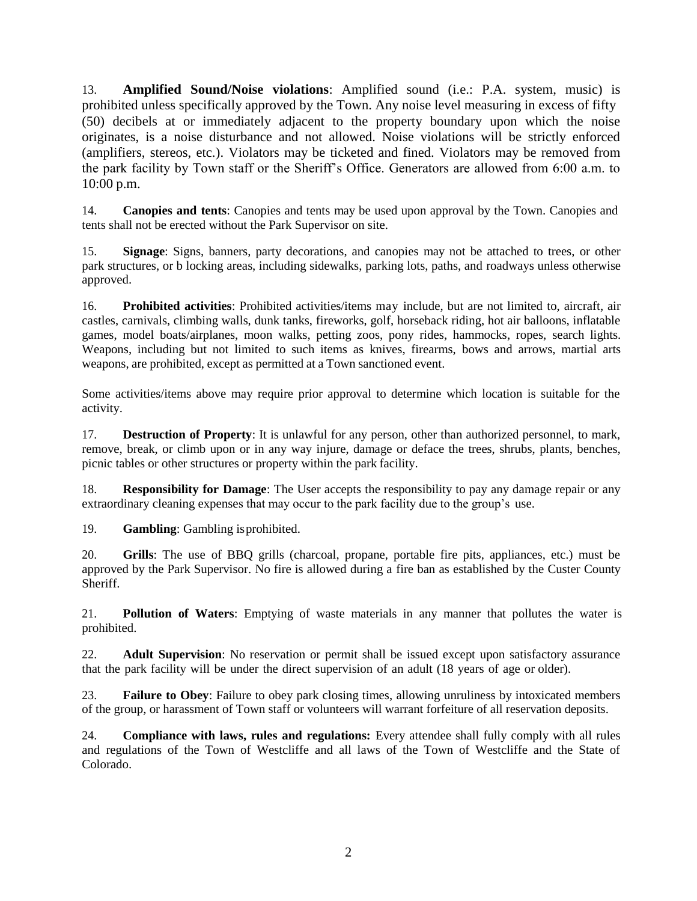13. **Amplified Sound/Noise violations**: Amplified sound (i.e.: P.A. system, music) is prohibited unless specifically approved by the Town. Any noise level measuring in excess of fifty (50) decibels at or immediately adjacent to the property boundary upon which the noise originates, is a noise disturbance and not allowed. Noise violations will be strictly enforced (amplifiers, stereos, etc.). Violators may be ticketed and fined. Violators may be removed from the park facility by Town staff or the Sheriff's Office. Generators are allowed from 6:00 a.m. to 10:00 p.m.

14. **Canopies and tents**: Canopies and tents may be used upon approval by the Town. Canopies and tents shall not be erected without the Park Supervisor on site.

15. **Signage**: Signs, banners, party decorations, and canopies may not be attached to trees, or other park structures, or b locking areas, including sidewalks, parking lots, paths, and roadways unless otherwise approved.

16. **Prohibited activities**: Prohibited activities/items may include, but are not limited to, aircraft, air castles, carnivals, climbing walls, dunk tanks, fireworks, golf, horseback riding, hot air balloons, inflatable games, model boats/airplanes, moon walks, petting zoos, pony rides, hammocks, ropes, search lights. Weapons, including but not limited to such items as knives, firearms, bows and arrows, martial arts weapons, are prohibited, except as permitted at a Town sanctioned event.

Some activities/items above may require prior approval to determine which location is suitable for the activity.

17. **Destruction of Property**: It is unlawful for any person, other than authorized personnel, to mark, remove, break, or climb upon or in any way injure, damage or deface the trees, shrubs, plants, benches, picnic tables or other structures or property within the park facility.

18. **Responsibility for Damage**: The User accepts the responsibility to pay any damage repair or any extraordinary cleaning expenses that may occur to the park facility due to the group's use.

19. **Gambling**: Gambling isprohibited.

20. **Grills**: The use of BBQ grills (charcoal, propane, portable fire pits, appliances, etc.) must be approved by the Park Supervisor. No fire is allowed during a fire ban as established by the Custer County Sheriff.

21. **Pollution of Waters**: Emptying of waste materials in any manner that pollutes the water is prohibited.

22. **Adult Supervision**: No reservation or permit shall be issued except upon satisfactory assurance that the park facility will be under the direct supervision of an adult (18 years of age or older).

23. **Failure to Obey**: Failure to obey park closing times, allowing unruliness by intoxicated members of the group, or harassment of Town staff or volunteers will warrant forfeiture of all reservation deposits.

24. **Compliance with laws, rules and regulations:** Every attendee shall fully comply with all rules and regulations of the Town of Westcliffe and all laws of the Town of Westcliffe and the State of Colorado.